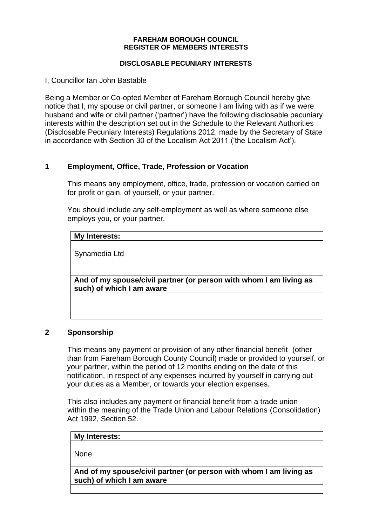#### **FAREHAM BOROUGH COUNCIL REGISTER OF MEMBERS INTERESTS**

#### **DISCLOSABLE PECUNIARY INTERESTS**

I, Councillor Ian John Bastable

Being a Member or Co-opted Member of Fareham Borough Council hereby give notice that I, my spouse or civil partner, or someone I am living with as if we were husband and wife or civil partner ('partner') have the following disclosable pecuniary interests within the description set out in the Schedule to the Relevant Authorities (Disclosable Pecuniary Interests) Regulations 2012, made by the Secretary of State in accordance with Section 30 of the Localism Act 2011 ('the Localism Act').

# **1 Employment, Office, Trade, Profession or Vocation**

This means any employment, office, trade, profession or vocation carried on for profit or gain, of yourself, or your partner.

You should include any self-employment as well as where someone else employs you, or your partner.

#### **My Interests:**

Synamedia Ltd

**And of my spouse/civil partner (or person with whom I am living as such) of which I am aware**

## **2 Sponsorship**

This means any payment or provision of any other financial benefit (other than from Fareham Borough County Council) made or provided to yourself, or your partner, within the period of 12 months ending on the date of this notification, in respect of any expenses incurred by yourself in carrying out your duties as a Member, or towards your election expenses.

This also includes any payment or financial benefit from a trade union within the meaning of the Trade Union and Labour Relations (Consolidation) Act 1992, Section 52.

| My Interests: |  |  |
|---------------|--|--|
|               |  |  |
| None          |  |  |

**And of my spouse/civil partner (or person with whom I am living as such) of which I am aware**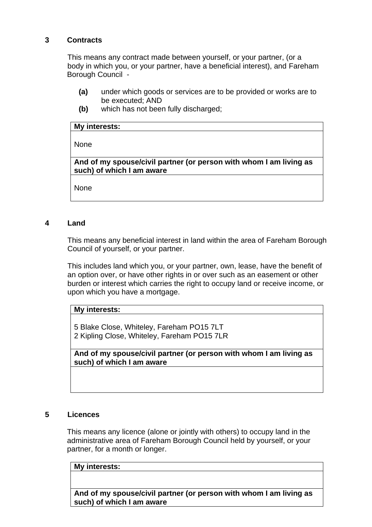# **3 Contracts**

This means any contract made between yourself, or your partner, (or a body in which you, or your partner, have a beneficial interest), and Fareham Borough Council -

- **(a)** under which goods or services are to be provided or works are to be executed; AND
- **(b)** which has not been fully discharged;

#### **My interests:**

None

**And of my spouse/civil partner (or person with whom I am living as such) of which I am aware**

None

## **4 Land**

This means any beneficial interest in land within the area of Fareham Borough Council of yourself, or your partner.

This includes land which you, or your partner, own, lease, have the benefit of an option over, or have other rights in or over such as an easement or other burden or interest which carries the right to occupy land or receive income, or upon which you have a mortgage.

## **My interests:**

5 Blake Close, Whiteley, Fareham PO15 7LT 2 Kipling Close, Whiteley, Fareham PO15 7LR

**And of my spouse/civil partner (or person with whom I am living as such) of which I am aware**

## **5 Licences**

This means any licence (alone or jointly with others) to occupy land in the administrative area of Fareham Borough Council held by yourself, or your partner, for a month or longer.

#### **My interests:**

**And of my spouse/civil partner (or person with whom I am living as such) of which I am aware**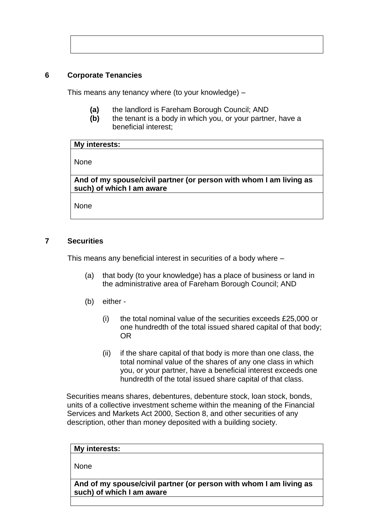# **6 Corporate Tenancies**

This means any tenancy where (to your knowledge) –

- **(a)** the landlord is Fareham Borough Council; AND
- **(b)** the tenant is a body in which you, or your partner, have a beneficial interest;

| My interests:                                                                                   |  |  |
|-------------------------------------------------------------------------------------------------|--|--|
| <b>None</b>                                                                                     |  |  |
| And of my spouse/civil partner (or person with whom I am living as<br>such) of which I am aware |  |  |

None

## **7 Securities**

This means any beneficial interest in securities of a body where –

- (a) that body (to your knowledge) has a place of business or land in the administrative area of Fareham Borough Council; AND
- (b) either
	- (i) the total nominal value of the securities exceeds £25,000 or one hundredth of the total issued shared capital of that body; OR
	- (ii) if the share capital of that body is more than one class, the total nominal value of the shares of any one class in which you, or your partner, have a beneficial interest exceeds one hundredth of the total issued share capital of that class.

Securities means shares, debentures, debenture stock, loan stock, bonds, units of a collective investment scheme within the meaning of the Financial Services and Markets Act 2000, Section 8, and other securities of any description, other than money deposited with a building society.

| My interests: |  |  |
|---------------|--|--|
|               |  |  |
| None          |  |  |

**And of my spouse/civil partner (or person with whom I am living as such) of which I am aware**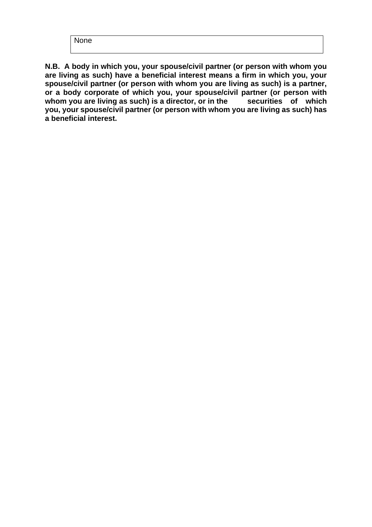None

**N.B. A body in which you, your spouse/civil partner (or person with whom you are living as such) have a beneficial interest means a firm in which you, your spouse/civil partner (or person with whom you are living as such) is a partner, or a body corporate of which you, your spouse/civil partner (or person with**  whom you are living as such) is a director, or in the securities of which **you, your spouse/civil partner (or person with whom you are living as such) has a beneficial interest.**